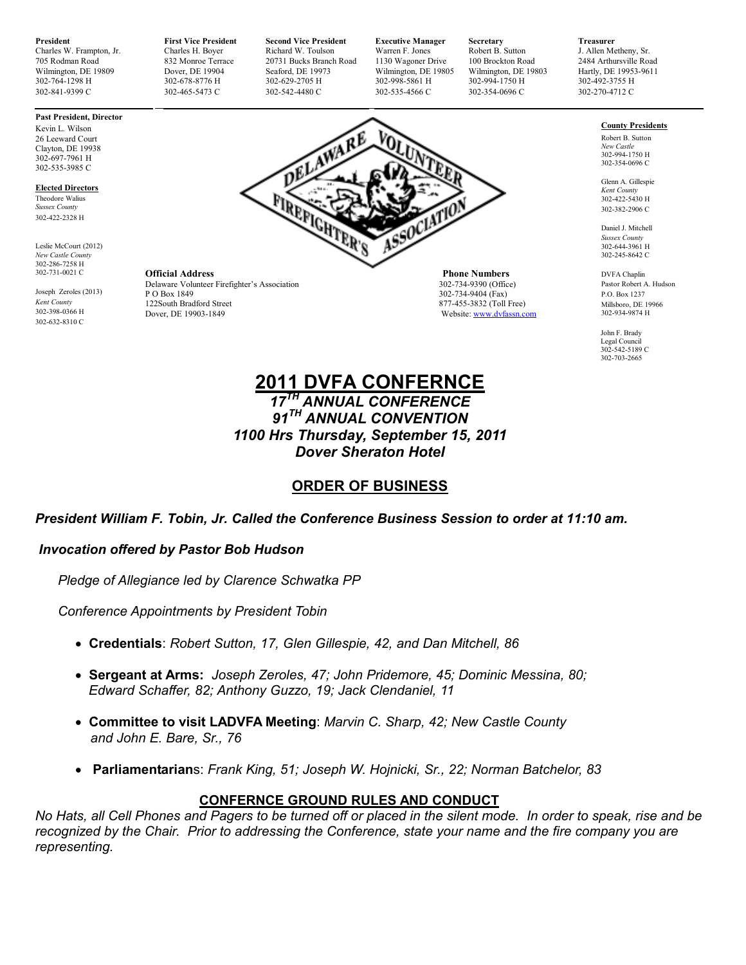**Past President, Director**  Kevin L. Wilson 26 Leeward Court Clayton, DE 19938 302-697-7961 H 302-535-3985 C **Elected Directors** Theodore Walius *Sussex County*  302-422-2328 H

Leslie McCourt (2012) *New Castle County*  302-286-7258 H 302-731-0021 C Joseph Zeroles (2013) *Kent County*  302-398-0366 H 302-632-8310 C

Charles W. Frampton, Jr. Charles H. Boyer Richard W. Toulson Warren F. Jones Robert B. Sutton J. Allen Metheny, Sr.<br>
20071 Bucks Branch Road 1130 Wagoner Drive 100 Brockton Road 2484 Arthursville Road 705 Rodman Road 832 Monroe Terrace 20731 Bucks Branch Road 1130 Wagoner Drive 100 Brockton Road 2013 Arthursville Road 200731 Bucks Branch Road 1130 Wagoner Drive 100 Brockton Road 2484 Arthursville Road 2484 Arthursville Wilmington, DE 19809 Dover, DE 19904 Seaford, DE 19973 Wilmington, DE 19805 Wilmington, DE 19803 Hartly, DE 19953-9611<br>
302-764-1298 H 302-492-3755 H 302-629-2705 H 302-629-2705 H 302-998-5861 H 302-994-1750 H 302-942-3755 302-764-1298 H 302-678-8776 H 302-629-2705 H 302-998-5861 H 302-994-1750 H 302-492-3755 H

**President First Vice President Second Vice President Executive Manager Secretary Treasurer Treasurer Charles H. Boyer Richard W. Toulson Warren F. Jones Robert B. Sutton J. Allen Metheny, Sr. (2014) Charles H. Boyer Richa** 

302-841-9399 C 302-465-5473 C 302-542-4480 C 302-535-4566 C 302-354-0696 C 302-270-4712 C

#### **County Presidents**

Robert B. Sutton *New Castle*  302-994-1750 H 302-354-0696 C

Glenn A. Gillespie *Kent County*  302-422-5430 H 302-382-2906 C

Daniel J. Mitchell *Sussex County*  302-644-3961 H 302-245-8642 C

DVFA Chaplin Pastor Robert A. Hudson P.O. Box 1237 Millsboro, DE 19966 302-934-9874 H

John F. Brady Legal Council 302-542-5189 C 302-703-2665

**Official Address** Phone Numbers Delaware Volunteer Firefighter's Association 202-734-9390 (Office) Delaware Volunteer Firefighter's Association<br>P O Box 1849

P O Box 1849 302-734-9404 (Fax) 122South Bradford Street<br>
122South Bradford Street<br>
122South Property 19903-1849<br>
122South Property 19903-1849

Website: www.dvfassn.com

# **2011 DVFA CONFERNCE** *17TH ANNUAL CONFERENCE 91TH ANNUAL CONVENTION 1100 Hrs Thursday, September 15, 2011 Dover Sheraton Hotel*

# **ORDER OF BUSINESS**

*President William F. Tobin, Jr. Called the Conference Business Session to order at 11:10 am.* 

# *Invocation offered by Pastor Bob Hudson*

*Pledge of Allegiance led by Clarence Schwatka PP* 

 *Conference Appointments by President Tobin* 

- **Credentials**: *Robert Sutton, 17, Glen Gillespie, 42, and Dan Mitchell, 86*
- **Sergeant at Arms:** *Joseph Zeroles, 47; John Pridemore, 45; Dominic Messina, 80; Edward Schaffer, 82; Anthony Guzzo, 19; Jack Clendaniel, 11*
- **Committee to visit LADVFA Meeting**: *Marvin C. Sharp, 42; New Castle County and John E. Bare, Sr., 76*
- **Parliamentarian**s: *Frank King, 51; Joseph W. Hojnicki, Sr., 22; Norman Batchelor, 83*

# **CONFERNCE GROUND RULES AND CONDUCT**

*No Hats, all Cell Phones and Pagers to be turned off or placed in the silent mode. In order to speak, rise and be recognized by the Chair. Prior to addressing the Conference, state your name and the fire company you are representing.* 

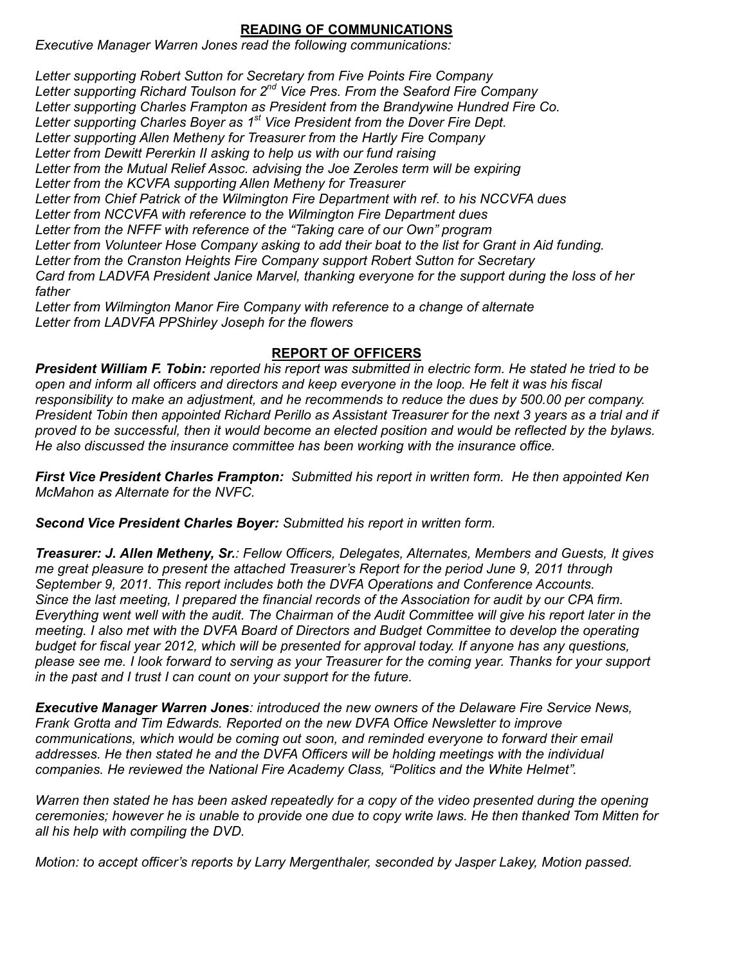# **READING OF COMMUNICATIONS**

*Executive Manager Warren Jones read the following communications:* 

*Letter supporting Robert Sutton for Secretary from Five Points Fire Company Letter supporting Richard Toulson for 2nd Vice Pres. From the Seaford Fire Company Letter supporting Charles Frampton as President from the Brandywine Hundred Fire Co. Letter supporting Charles Boyer as 1st Vice President from the Dover Fire Dept. Letter supporting Allen Metheny for Treasurer from the Hartly Fire Company Letter from Dewitt Pererkin II asking to help us with our fund raising Letter from the Mutual Relief Assoc. advising the Joe Zeroles term will be expiring Letter from the KCVFA supporting Allen Metheny for Treasurer Letter from Chief Patrick of the Wilmington Fire Department with ref. to his NCCVFA dues Letter from NCCVFA with reference to the Wilmington Fire Department dues Letter from the NFFF with reference of the "Taking care of our Own" program Letter from Volunteer Hose Company asking to add their boat to the list for Grant in Aid funding. Letter from the Cranston Heights Fire Company support Robert Sutton for Secretary Card from LADVFA President Janice Marvel, thanking everyone for the support during the loss of her father* 

*Letter from Wilmington Manor Fire Company with reference to a change of alternate Letter from LADVFA PPShirley Joseph for the flowers*

# **REPORT OF OFFICERS**

*President William F. Tobin: reported his report was submitted in electric form. He stated he tried to be open and inform all officers and directors and keep everyone in the loop. He felt it was his fiscal responsibility to make an adjustment, and he recommends to reduce the dues by 500.00 per company. President Tobin then appointed Richard Perillo as Assistant Treasurer for the next 3 years as a trial and if proved to be successful, then it would become an elected position and would be reflected by the bylaws. He also discussed the insurance committee has been working with the insurance office.* 

*First Vice President Charles Frampton: Submitted his report in written form. He then appointed Ken McMahon as Alternate for the NVFC.* 

*Second Vice President Charles Boyer: Submitted his report in written form.* 

*Treasurer: J. Allen Metheny, Sr.: Fellow Officers, Delegates, Alternates, Members and Guests, It gives me great pleasure to present the attached Treasurer's Report for the period June 9, 2011 through September 9, 2011. This report includes both the DVFA Operations and Conference Accounts. Since the last meeting, I prepared the financial records of the Association for audit by our CPA firm. Everything went well with the audit. The Chairman of the Audit Committee will give his report later in the meeting. I also met with the DVFA Board of Directors and Budget Committee to develop the operating budget for fiscal year 2012, which will be presented for approval today. If anyone has any questions, please see me. I look forward to serving as your Treasurer for the coming year. Thanks for your support in the past and I trust I can count on your support for the future.* 

*Executive Manager Warren Jones: introduced the new owners of the Delaware Fire Service News, Frank Grotta and Tim Edwards. Reported on the new DVFA Office Newsletter to improve communications, which would be coming out soon, and reminded everyone to forward their email addresses. He then stated he and the DVFA Officers will be holding meetings with the individual companies. He reviewed the National Fire Academy Class, "Politics and the White Helmet".* 

*Warren then stated he has been asked repeatedly for a copy of the video presented during the opening ceremonies; however he is unable to provide one due to copy write laws. He then thanked Tom Mitten for all his help with compiling the DVD.* 

*Motion: to accept officer's reports by Larry Mergenthaler, seconded by Jasper Lakey, Motion passed.*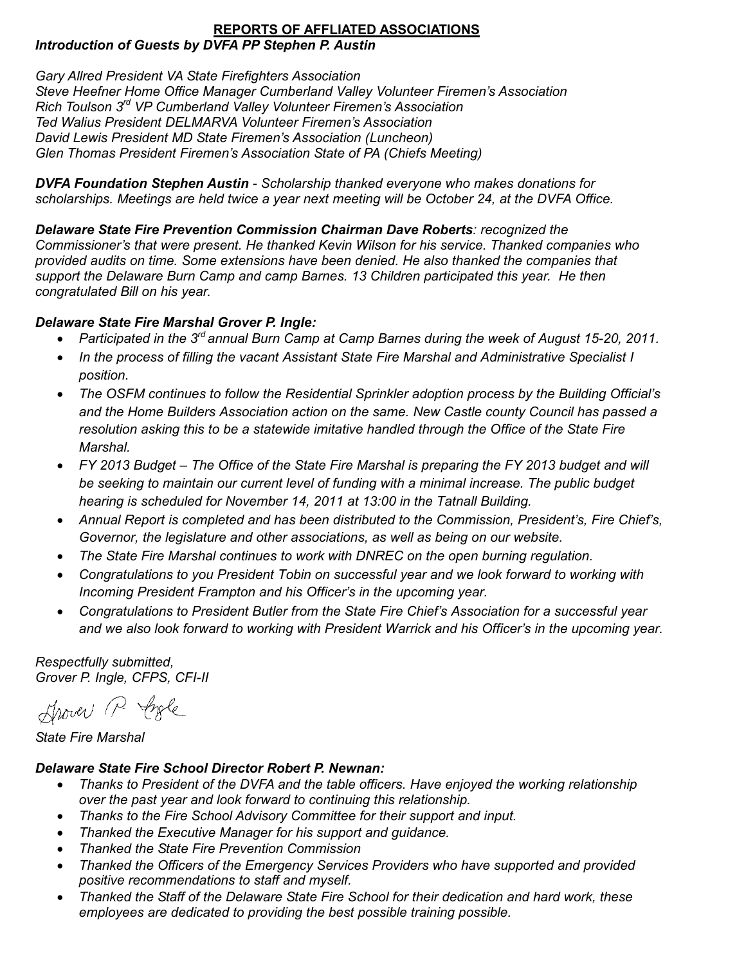### **REPORTS OF AFFLIATED ASSOCIATIONS** *Introduction of Guests by DVFA PP Stephen P. Austin*

*Gary Allred President VA State Firefighters Association Steve Heefner Home Office Manager Cumberland Valley Volunteer Firemen's Association Rich Toulson 3rd VP Cumberland Valley Volunteer Firemen's Association Ted Walius President DELMARVA Volunteer Firemen's Association David Lewis President MD State Firemen's Association (Luncheon) Glen Thomas President Firemen's Association State of PA (Chiefs Meeting)* 

*DVFA Foundation Stephen Austin - Scholarship thanked everyone who makes donations for scholarships. Meetings are held twice a year next meeting will be October 24, at the DVFA Office.* 

*Delaware State Fire Prevention Commission Chairman Dave Roberts: recognized the Commissioner's that were present. He thanked Kevin Wilson for his service. Thanked companies who provided audits on time. Some extensions have been denied. He also thanked the companies that support the Delaware Burn Camp and camp Barnes. 13 Children participated this year. He then congratulated Bill on his year.* 

# *Delaware State Fire Marshal Grover P. Ingle:*

- *Participated in the 3rd annual Burn Camp at Camp Barnes during the week of August 15-20, 2011.*
- *In the process of filling the vacant Assistant State Fire Marshal and Administrative Specialist I position.*
- *The OSFM continues to follow the Residential Sprinkler adoption process by the Building Official's and the Home Builders Association action on the same. New Castle county Council has passed a resolution asking this to be a statewide imitative handled through the Office of the State Fire Marshal.*
- FY 2013 Budget The Office of the State Fire Marshal is preparing the FY 2013 budget and will be seeking to maintain our current level of funding with a minimal increase. The public budget *hearing is scheduled for November 14, 2011 at 13:00 in the Tatnall Building.*
- *Annual Report is completed and has been distributed to the Commission, President's, Fire Chief's, Governor, the legislature and other associations, as well as being on our website.*
- *The State Fire Marshal continues to work with DNREC on the open burning regulation.*
- *Congratulations to you President Tobin on successful year and we look forward to working with Incoming President Frampton and his Officer's in the upcoming year.*
- *Congratulations to President Butler from the State Fire Chief's Association for a successful year and we also look forward to working with President Warrick and his Officer's in the upcoming year.*

*Respectfully submitted, Grover P. Ingle, CFPS, CFI-II* 

Shover P. Ingle

*State Fire Marshal* 

# *Delaware State Fire School Director Robert P. Newnan:*

- *Thanks to President of the DVFA and the table officers. Have enjoyed the working relationship over the past year and look forward to continuing this relationship.*
- *Thanks to the Fire School Advisory Committee for their support and input.*
- *Thanked the Executive Manager for his support and guidance.*
- *Thanked the State Fire Prevention Commission*
- *Thanked the Officers of the Emergency Services Providers who have supported and provided positive recommendations to staff and myself.*
- *Thanked the Staff of the Delaware State Fire School for their dedication and hard work, these employees are dedicated to providing the best possible training possible.*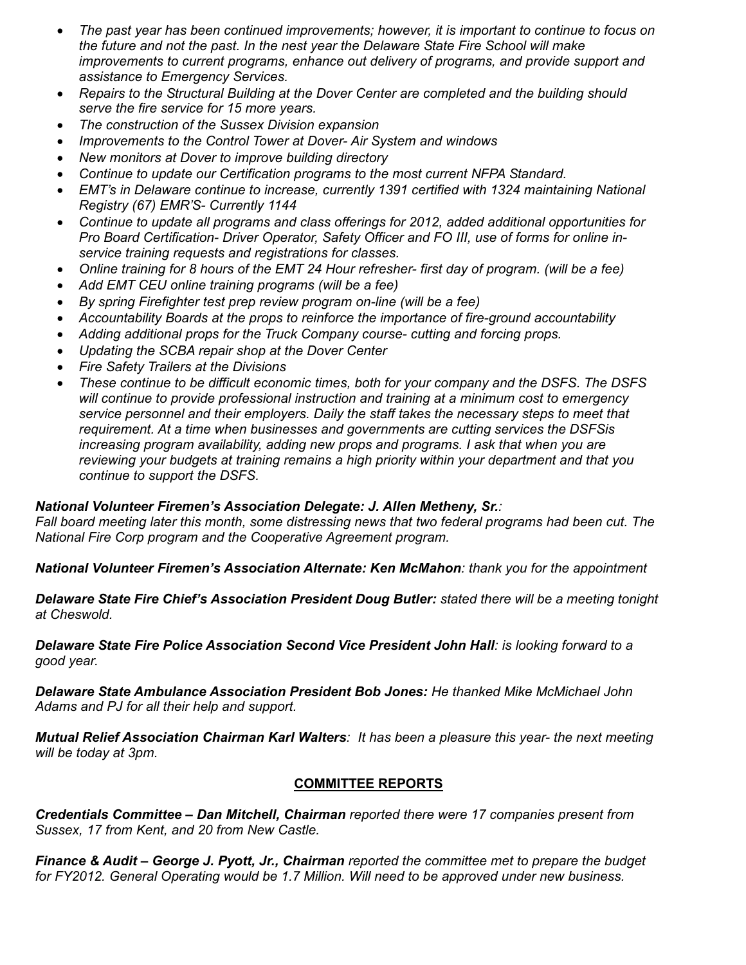- *The past year has been continued improvements; however, it is important to continue to focus on the future and not the past. In the nest year the Delaware State Fire School will make improvements to current programs, enhance out delivery of programs, and provide support and assistance to Emergency Services.*
- *Repairs to the Structural Building at the Dover Center are completed and the building should serve the fire service for 15 more years.*
- *The construction of the Sussex Division expansion*
- *Improvements to the Control Tower at Dover- Air System and windows*
- *New monitors at Dover to improve building directory*
- *Continue to update our Certification programs to the most current NFPA Standard.*
- *EMT's in Delaware continue to increase, currently 1391 certified with 1324 maintaining National Registry (67) EMR'S- Currently 1144*
- *Continue to update all programs and class offerings for 2012, added additional opportunities for Pro Board Certification- Driver Operator, Safety Officer and FO III, use of forms for online inservice training requests and registrations for classes.*
- *Online training for 8 hours of the EMT 24 Hour refresher- first day of program. (will be a fee)*
- *Add EMT CEU online training programs (will be a fee)*
- *By spring Firefighter test prep review program on-line (will be a fee)*
- *Accountability Boards at the props to reinforce the importance of fire-ground accountability*
- *Adding additional props for the Truck Company course- cutting and forcing props.*
- *Updating the SCBA repair shop at the Dover Center*
- *Fire Safety Trailers at the Divisions*
- *These continue to be difficult economic times, both for your company and the DSFS. The DSFS will continue to provide professional instruction and training at a minimum cost to emergency service personnel and their employers. Daily the staff takes the necessary steps to meet that requirement. At a time when businesses and governments are cutting services the DSFSis increasing program availability, adding new props and programs. I ask that when you are reviewing your budgets at training remains a high priority within your department and that you continue to support the DSFS.*

# *National Volunteer Firemen's Association Delegate: J. Allen Metheny, Sr.:*

*Fall board meeting later this month, some distressing news that two federal programs had been cut. The National Fire Corp program and the Cooperative Agreement program.* 

*National Volunteer Firemen's Association Alternate: Ken McMahon: thank you for the appointment* 

*Delaware State Fire Chief's Association President Doug Butler: stated there will be a meeting tonight at Cheswold.* 

*Delaware State Fire Police Association Second Vice President John Hall: is looking forward to a good year.* 

*Delaware State Ambulance Association President Bob Jones: He thanked Mike McMichael John Adams and PJ for all their help and support.* 

*Mutual Relief Association Chairman Karl Walters: It has been a pleasure this year- the next meeting will be today at 3pm.* 

# **COMMITTEE REPORTS**

*Credentials Committee – Dan Mitchell, Chairman reported there were 17 companies present from Sussex, 17 from Kent, and 20 from New Castle.* 

*Finance & Audit – George J. Pyott, Jr., Chairman reported the committee met to prepare the budget for FY2012. General Operating would be 1.7 Million. Will need to be approved under new business.*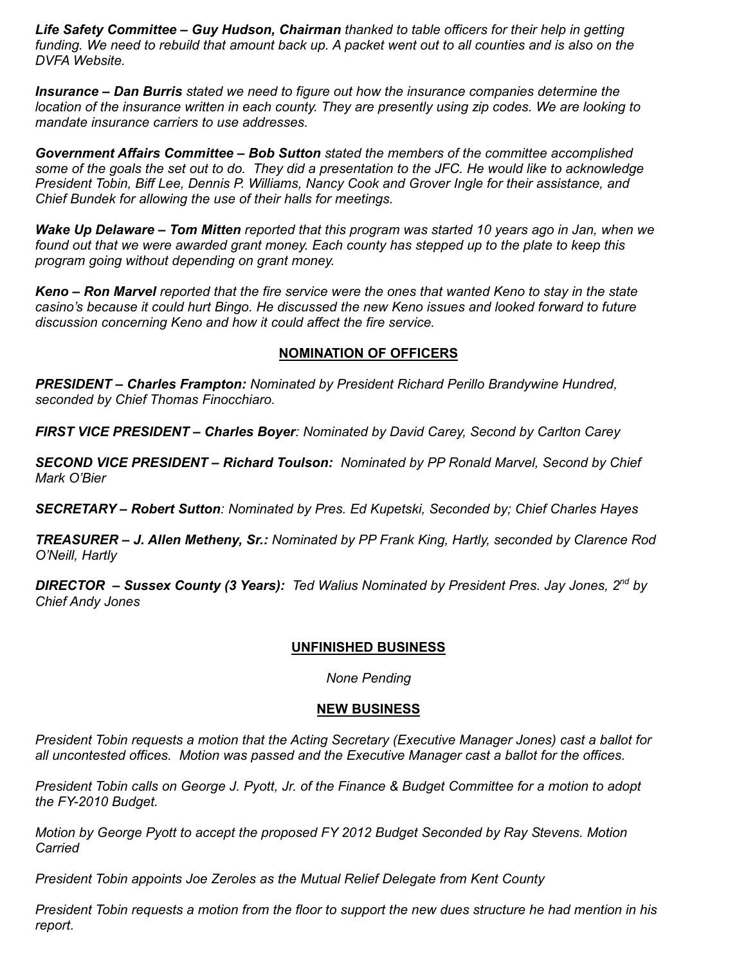*Life Safety Committee – Guy Hudson, Chairman thanked to table officers for their help in getting funding. We need to rebuild that amount back up. A packet went out to all counties and is also on the DVFA Website.* 

*Insurance – Dan Burris stated we need to figure out how the insurance companies determine the location of the insurance written in each county. They are presently using zip codes. We are looking to mandate insurance carriers to use addresses.* 

*Government Affairs Committee – Bob Sutton stated the members of the committee accomplished some of the goals the set out to do. They did a presentation to the JFC. He would like to acknowledge President Tobin, Biff Lee, Dennis P. Williams, Nancy Cook and Grover Ingle for their assistance, and Chief Bundek for allowing the use of their halls for meetings.* 

*Wake Up Delaware – Tom Mitten reported that this program was started 10 years ago in Jan, when we found out that we were awarded grant money. Each county has stepped up to the plate to keep this program going without depending on grant money.* 

*Keno – Ron Marvel reported that the fire service were the ones that wanted Keno to stay in the state casino's because it could hurt Bingo. He discussed the new Keno issues and looked forward to future discussion concerning Keno and how it could affect the fire service.* 

# **NOMINATION OF OFFICERS**

*PRESIDENT – Charles Frampton: Nominated by President Richard Perillo Brandywine Hundred, seconded by Chief Thomas Finocchiaro.* 

*FIRST VICE PRESIDENT – Charles Boyer: Nominated by David Carey, Second by Carlton Carey*

*SECOND VICE PRESIDENT – Richard Toulson: Nominated by PP Ronald Marvel, Second by Chief Mark O'Bier* 

*SECRETARY – Robert Sutton: Nominated by Pres. Ed Kupetski, Seconded by; Chief Charles Hayes* 

*TREASURER – J. Allen Metheny, Sr.: Nominated by PP Frank King, Hartly, seconded by Clarence Rod O'Neill, Hartly* 

*DIRECTOR – Sussex County (3 Years): Ted Walius Nominated by President Pres. Jay Jones, 2nd by Chief Andy Jones* 

# **UNFINISHED BUSINESS**

*None Pending* 

# **NEW BUSINESS**

*President Tobin requests a motion that the Acting Secretary (Executive Manager Jones) cast a ballot for all uncontested offices. Motion was passed and the Executive Manager cast a ballot for the offices.* 

*President Tobin calls on George J. Pyott, Jr. of the Finance & Budget Committee for a motion to adopt the FY-2010 Budget.* 

*Motion by George Pyott to accept the proposed FY 2012 Budget Seconded by Ray Stevens. Motion Carried* 

*President Tobin appoints Joe Zeroles as the Mutual Relief Delegate from Kent County* 

*President Tobin requests a motion from the floor to support the new dues structure he had mention in his report.*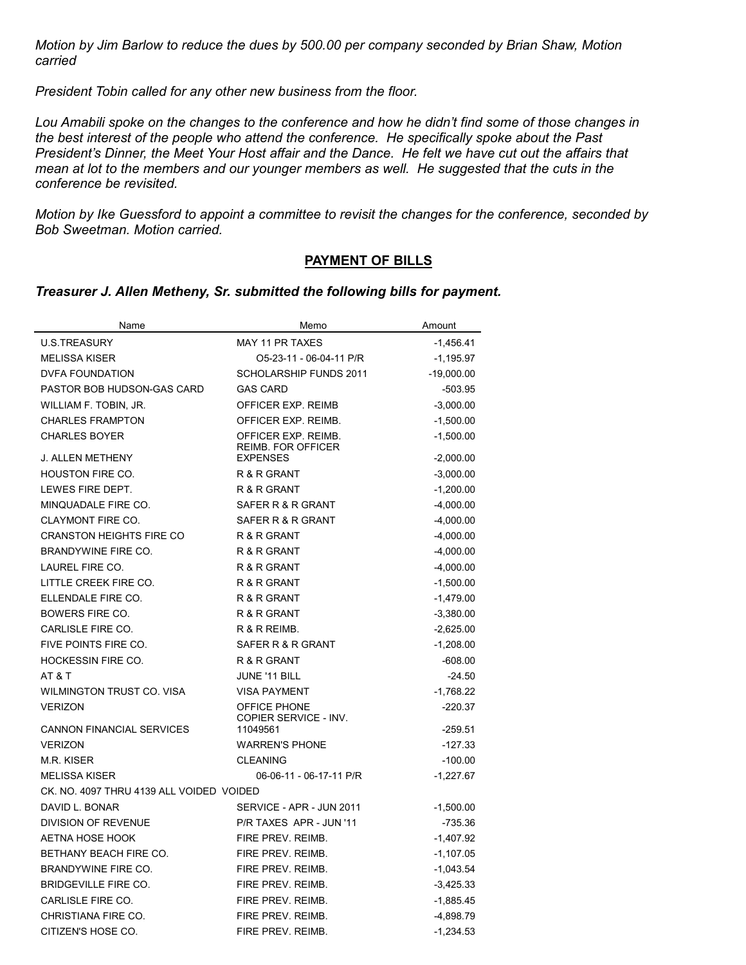*Motion by Jim Barlow to reduce the dues by 500.00 per company seconded by Brian Shaw, Motion carried* 

*President Tobin called for any other new business from the floor.* 

*Lou Amabili spoke on the changes to the conference and how he didn't find some of those changes in the best interest of the people who attend the conference. He specifically spoke about the Past President's Dinner, the Meet Your Host affair and the Dance. He felt we have cut out the affairs that mean at lot to the members and our younger members as well. He suggested that the cuts in the conference be revisited.* 

*Motion by Ike Guessford to appoint a committee to revisit the changes for the conference, seconded by Bob Sweetman. Motion carried.* 

# **PAYMENT OF BILLS**

#### *Treasurer J. Allen Metheny, Sr. submitted the following bills for payment.*

| Name                                     | Memo                                         | Amount       |
|------------------------------------------|----------------------------------------------|--------------|
| <b>U.S.TREASURY</b>                      | <b>MAY 11 PR TAXES</b>                       | $-1,456.41$  |
| <b>MELISSA KISER</b>                     | O5-23-11 - 06-04-11 P/R                      | $-1,195.97$  |
| <b>DVFA FOUNDATION</b>                   | <b>SCHOLARSHIP FUNDS 2011</b>                | $-19,000.00$ |
| PASTOR BOB HUDSON-GAS CARD               | <b>GAS CARD</b>                              | $-503.95$    |
| WILLIAM F. TOBIN, JR.                    | OFFICER EXP. REIMB                           | $-3,000.00$  |
| <b>CHARLES FRAMPTON</b>                  | OFFICER EXP. REIMB.                          | $-1,500.00$  |
| <b>CHARLES BOYER</b>                     | OFFICER EXP. REIMB.                          | $-1,500.00$  |
| <b>J. ALLEN METHENY</b>                  | <b>REIMB. FOR OFFICER</b><br><b>EXPENSES</b> | $-2,000.00$  |
| <b>HOUSTON FIRE CO.</b>                  | R & R GRANT                                  | $-3,000.00$  |
| LEWES FIRE DEPT.                         | R & R GRANT                                  | $-1,200.00$  |
| MINQUADALE FIRE CO.                      | SAFER R & R GRANT                            | $-4,000.00$  |
| <b>CLAYMONT FIRE CO.</b>                 | SAFER R & R GRANT                            | $-4,000.00$  |
| <b>CRANSTON HEIGHTS FIRE CO</b>          | R & R GRANT                                  | $-4,000.00$  |
| BRANDYWINE FIRE CO.                      | R & R GRANT                                  | $-4,000.00$  |
| LAUREL FIRE CO.                          | R & R GRANT                                  | $-4,000.00$  |
| LITTLE CREEK FIRE CO.                    | R & R GRANT                                  | $-1,500.00$  |
| ELLENDALE FIRE CO.                       | R & R GRANT                                  | $-1,479.00$  |
| <b>BOWERS FIRE CO.</b>                   | R & R GRANT                                  | $-3,380.00$  |
| CARLISLE FIRE CO.                        | R & R REIMB.                                 | $-2,625.00$  |
| FIVE POINTS FIRE CO.                     | SAFER R & R GRANT                            | $-1,208.00$  |
| HOCKESSIN FIRE CO.                       | R & R GRANT                                  | $-608.00$    |
| <b>AT &amp; T</b>                        | JUNE '11 BILL                                | $-24.50$     |
| <b>WILMINGTON TRUST CO. VISA</b>         | <b>VISA PAYMENT</b>                          | $-1,768.22$  |
| <b>VERIZON</b>                           | OFFICE PHONE                                 | $-220.37$    |
| <b>CANNON FINANCIAL SERVICES</b>         | COPIER SERVICE - INV.<br>11049561            | $-259.51$    |
| <b>VERIZON</b>                           | <b>WARREN'S PHONE</b>                        | $-127.33$    |
| M.R. KISER                               | <b>CLEANING</b>                              | $-100.00$    |
| <b>MELISSA KISER</b>                     | 06-06-11 - 06-17-11 P/R                      | $-1,227.67$  |
| CK. NO. 4097 THRU 4139 ALL VOIDED VOIDED |                                              |              |
| DAVID L. BONAR                           | SERVICE - APR - JUN 2011                     | $-1,500.00$  |
| <b>DIVISION OF REVENUE</b>               | P/R TAXES APR - JUN '11                      | $-735.36$    |
| <b>AETNA HOSE HOOK</b>                   | FIRE PREV. REIMB.                            | $-1,407.92$  |
| BETHANY BEACH FIRE CO.                   | FIRE PREV. REIMB.                            | $-1,107.05$  |
| BRANDYWINE FIRE CO.                      | FIRE PREV. REIMB.                            | $-1,043.54$  |
| <b>BRIDGEVILLE FIRE CO.</b>              | FIRE PREV. REIMB.                            | $-3,425.33$  |
| CARLISLE FIRE CO.                        | FIRE PREV. REIMB.                            | $-1,885.45$  |
| CHRISTIANA FIRE CO.                      | FIRE PREV. REIMB.                            | $-4,898.79$  |
| CITIZEN'S HOSE CO.                       | FIRE PREV. REIMB.                            | $-1,234.53$  |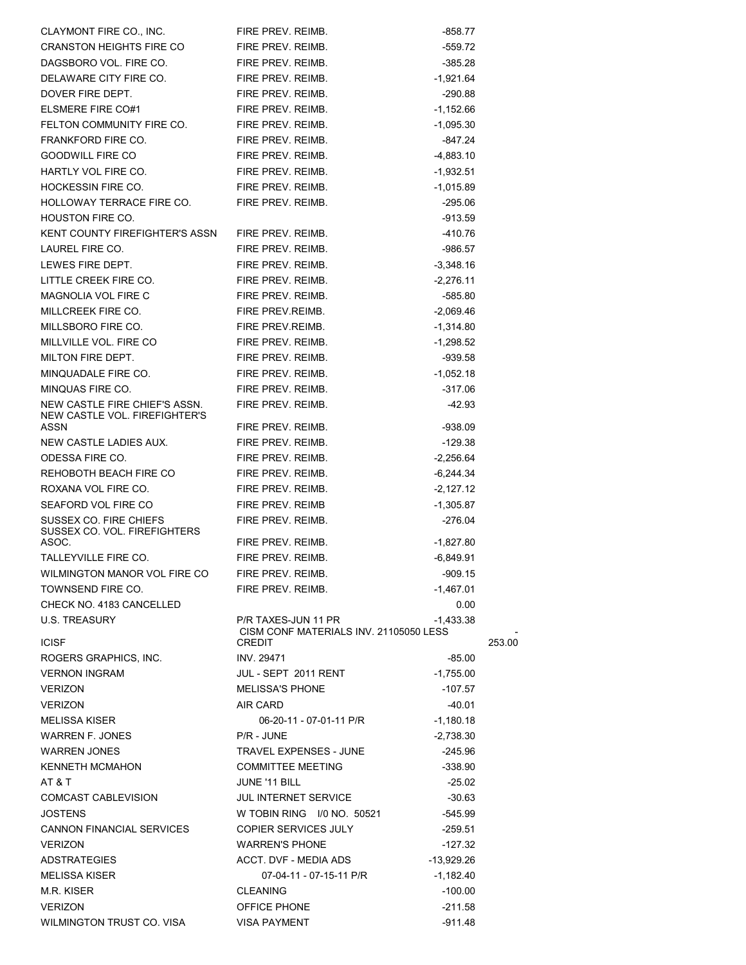| CLAYMONT FIRE CO., INC.                                         | FIRE PREV. REIMB.                                       | $-858.77$                |        |
|-----------------------------------------------------------------|---------------------------------------------------------|--------------------------|--------|
| CRANSTON HEIGHTS FIRE CO FIRE PREV. REIMB.                      |                                                         | $-559.72$                |        |
| DAGSBORO VOL. FIRE CO.                                          | FIRE PREV. REIMB.                                       | $-385.28$                |        |
| DELAWARE CITY FIRE CO.                                          | FIRE PREV. REIMB.                                       | $-1,921.64$              |        |
| DOVER FIRE DEPT.                                                | FIRE PREV. REIMB.                                       | $-290.88$                |        |
| ELSMERE FIRE CO#1                                               | FIRE PREV. REIMB.                                       | $-1,152.66$              |        |
| FELTON COMMUNITY FIRE CO. FIRE PREV. REIMB.                     |                                                         | $-1,095.30$              |        |
| <b>FRANKFORD FIRE CO.</b>                                       | <b>FIRE PREV. REIMB.</b>                                | $-847.24$                |        |
| GOODWILL FIRE CO                                                | FIRE PREV. REIMB.                                       | $-4,883.10$              |        |
| HARTLY VOL FIRE CO.                                             | <b>EIRE PREV. REIMB.</b>                                | $-1,932.51$              |        |
| <b>HOCKESSIN FIRE CO.</b>                                       | FIRE PREV. REIMB.                                       | $-1,015.89$              |        |
| HOLLOWAY TERRACE FIRE CO. FIRE PREV. REIMB.                     |                                                         | $-295.06$                |        |
| <b>HOUSTON FIRE CO.</b>                                         |                                                         | -913.59                  |        |
| KENT COUNTY FIREFIGHTER'S ASSN                                  | FIRE PREV. REIMB.                                       | -410.76                  |        |
| LAUREL FIRE CO.                                                 | FIRE PREV. REIMB.                                       | -986.57                  |        |
| LEWES FIRE DEPT.                                                | FIRE PREV. REIMB.                                       | $-3,348.16$              |        |
| LITTLE CREEK FIRE CO.                                           | FIRE PREV. REIMB.                                       | $-2,276.11$              |        |
| MAGNOLIA VOL FIRE C                                             | FIRE PREV. REIMB.                                       | $-585.80$                |        |
| MILLCREEK FIRE CO.                                              | FIRE PREV.REIMB.                                        | $-2,069.46$              |        |
| MILLSBORO FIRE CO.                                              | FIRE PREV REIMB.                                        | $-1,314.80$              |        |
| MILLVILLE VOL. FIRE CO                                          | FIRE PREV. REIMB.                                       | $-1,298.52$              |        |
| MILTON FIRE DEPT.                                               | FIRE PREV. REIMB.                                       | $-939.58$                |        |
| MINQUADALE FIRE CO.                                             | FIRE PREV. REIMB.                                       | $-1,052.18$              |        |
| MINQUAS FIRE CO.                                                | FIRE PREV. REIMB.                                       | $-317.06$                |        |
| NEW CASTLE FIRE CHIEF'S ASSN.<br>NEW CASTLE VOL. FIREFIGHTER'S  | FIRE PREV. REIMB.                                       | -42.93                   |        |
| ASSN                                                            | FIRE PREV. REIMB.                                       | -938.09                  |        |
| NEW CASTLE LADIES AUX.                                          | FIRE PREV. REIMB.                                       | $-129.38$                |        |
| ODESSA FIRE CO.                                                 | FIRE PREV. REIMB.                                       | $-2,256.64$              |        |
| REHOBOTH BEACH FIRE CO                                          | FIRE PREV. REIMB.                                       | -6,244.34                |        |
| ROXANA VOL FIRE CO.                                             | FIRE PREV. REIMB.                                       | $-2,127.12$              |        |
| SEAFORD VOL FIRE CO                                             | FIRE PREV. REIMB                                        | $-1,305.87$              |        |
| SUSSEX CO. FIRE CHIEFS<br>SUSSEX CO. VOL. FIREFIGHTERS<br>ASOC. | FIRE PREV. REIMB.<br>FIRE PREV. REIMB.                  | $-276.04$<br>$-1,827.80$ |        |
| TALLEYVILLE FIRE CO.                                            | FIRE PREV. REIMB.                                       | $-6,849.91$              |        |
| WILMINGTON MANOR VOL FIRE CO                                    | FIRE PREV. REIMB.                                       | $-909.15$                |        |
| TOWNSEND FIRE CO.                                               | FIRE PREV. REIMB.                                       | $-1,467.01$              |        |
| CHECK NO. 4183 CANCELLED                                        |                                                         | 0.00                     |        |
| U.S. TREASURY                                                   | P/R TAXES-JUN 11 PR                                     | $-1,433.38$              |        |
| <b>ICISF</b>                                                    | CISM CONF MATERIALS INV. 21105050 LESS<br><b>CREDIT</b> |                          | 253.00 |
| ROGERS GRAPHICS, INC.                                           | <b>INV. 29471</b>                                       | $-85.00$                 |        |
| <b>VERNON INGRAM</b>                                            | JUL - SEPT 2011 RENT                                    | $-1,755.00$              |        |
| <b>VERIZON</b>                                                  | <b>MELISSA'S PHONE</b>                                  | $-107.57$                |        |
| <b>VERIZON</b>                                                  | AIR CARD                                                | -40.01                   |        |
| <b>MELISSA KISER</b>                                            | 06-20-11 - 07-01-11 P/R                                 | $-1,180.18$              |        |
| WARREN F. JONES                                                 | P/R - JUNE                                              | $-2,738.30$              |        |
| <b>WARREN JONES</b>                                             | TRAVEL EXPENSES - JUNE                                  | -245.96                  |        |
| KENNETH MCMAHON                                                 | <b>COMMITTEE MEETING</b>                                | $-338.90$                |        |
| AT & T                                                          | JUNE '11 BILL                                           | $-25.02$                 |        |
| COMCAST CABLEVISION                                             | <b>JUL INTERNET SERVICE</b>                             | $-30.63$                 |        |
| <b>JOSTENS</b>                                                  | W TOBIN RING I/0 NO. 50521                              | -545.99                  |        |
| CANNON FINANCIAL SERVICES                                       | <b>COPIER SERVICES JULY</b>                             | $-259.51$                |        |
| <b>VERIZON</b>                                                  | <b>WARREN'S PHONE</b>                                   | $-127.32$                |        |
| <b>ADSTRATEGIES</b>                                             | ACCT. DVF - MEDIA ADS                                   | -13,929.26               |        |
| MELISSA KISER                                                   | 07-04-11 - 07-15-11 P/R                                 | $-1,182.40$              |        |
| M.R. KISER                                                      | <b>CLEANING</b>                                         | $-100.00$                |        |
| <b>VERIZON</b>                                                  | OFFICE PHONE                                            | $-211.58$                |        |
| WILMINGTON TRUST CO. VISA                                       | <b>VISA PAYMENT</b>                                     | $-911.48$                |        |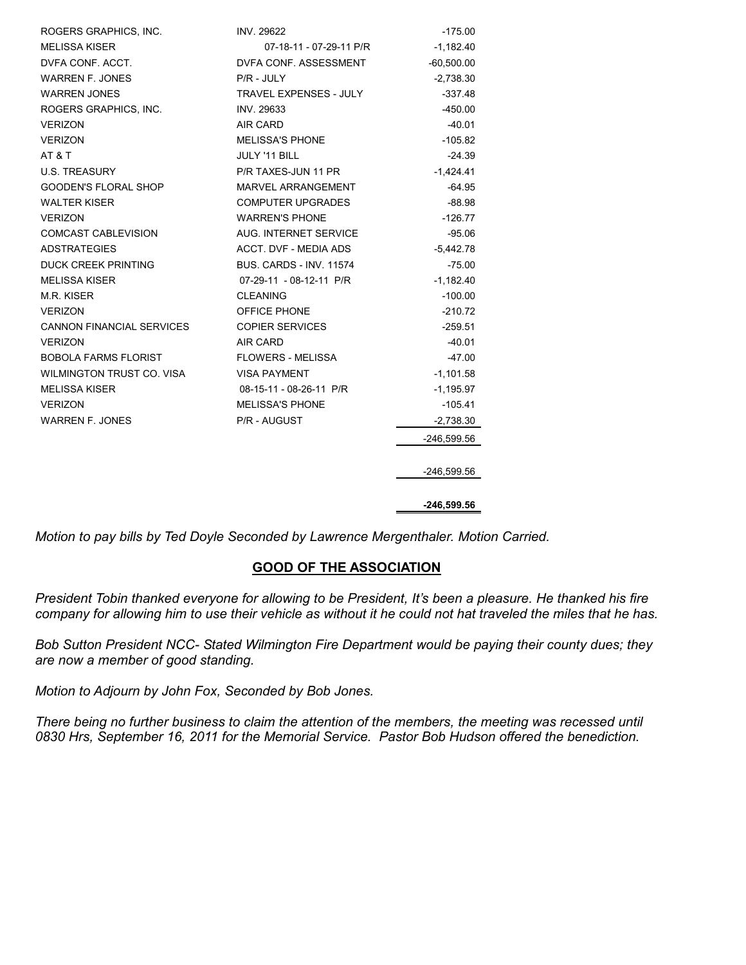| ROGERS GRAPHICS, INC.            | <b>INV. 29622</b>              | $-175.00$     |
|----------------------------------|--------------------------------|---------------|
| <b>MELISSA KISER</b>             | 07-18-11 - 07-29-11 P/R        | $-1,182.40$   |
| DVFA CONF. ACCT.                 | DVFA CONF. ASSESSMENT          | $-60,500.00$  |
| <b>WARREN F. JONES</b>           | P/R - JULY                     | $-2,738.30$   |
| <b>WARREN JONES</b>              | <b>TRAVEL EXPENSES - JULY</b>  | $-337.48$     |
| ROGERS GRAPHICS, INC.            | INV. 29633                     | $-450.00$     |
| <b>VERIZON</b>                   | AIR CARD                       | $-40.01$      |
| <b>VERIZON</b>                   | <b>MELISSA'S PHONE</b>         | $-105.82$     |
| AT&T                             | JULY '11 BILL                  | $-24.39$      |
| <b>U.S. TREASURY</b>             | P/R TAXES-JUN 11 PR            | $-1,424.41$   |
| <b>GOODEN'S FLORAL SHOP</b>      | MARVEL ARRANGEMENT             | $-64.95$      |
| <b>WALTER KISER</b>              | <b>COMPUTER UPGRADES</b>       | $-88.98$      |
| <b>VERIZON</b>                   | <b>WARREN'S PHONE</b>          | $-126.77$     |
| <b>COMCAST CABLEVISION</b>       | AUG. INTERNET SERVICE          | $-95.06$      |
| <b>ADSTRATEGIES</b>              | ACCT. DVF - MEDIA ADS          | $-5,442.78$   |
| DUCK CREEK PRINTING              | <b>BUS, CARDS - INV. 11574</b> | $-75.00$      |
| <b>MELISSA KISER</b>             | 07-29-11 - 08-12-11 P/R        | $-1,182.40$   |
| M.R. KISER                       | <b>CLEANING</b>                | $-100.00$     |
| <b>VERIZON</b>                   | OFFICE PHONE                   | $-210.72$     |
| <b>CANNON FINANCIAL SERVICES</b> | <b>COPIER SERVICES</b>         | $-259.51$     |
| <b>VERIZON</b>                   | AIR CARD                       | $-40.01$      |
| <b>BOBOLA FARMS FLORIST</b>      | <b>FLOWERS - MELISSA</b>       | $-47.00$      |
| WILMINGTON TRUST CO. VISA        | <b>VISA PAYMENT</b>            | $-1,101.58$   |
| <b>MELISSA KISER</b>             | 08-15-11 - 08-26-11 P/R        | $-1,195.97$   |
| <b>VERIZON</b>                   | <b>MELISSA'S PHONE</b>         | $-105.41$     |
| <b>WARREN F. JONES</b>           | P/R - AUGUST                   | $-2,738.30$   |
|                                  |                                | -246,599.56   |
|                                  |                                |               |
|                                  |                                | $-246,599.56$ |
|                                  |                                | $-246,599.56$ |

*Motion to pay bills by Ted Doyle Seconded by Lawrence Mergenthaler. Motion Carried.* 

# **GOOD OF THE ASSOCIATION**

*President Tobin thanked everyone for allowing to be President, It's been a pleasure. He thanked his fire company for allowing him to use their vehicle as without it he could not hat traveled the miles that he has.* 

*Bob Sutton President NCC- Stated Wilmington Fire Department would be paying their county dues; they are now a member of good standing.* 

*Motion to Adjourn by John Fox, Seconded by Bob Jones.* 

*There being no further business to claim the attention of the members, the meeting was recessed until 0830 Hrs, September 16, 2011 for the Memorial Service. Pastor Bob Hudson offered the benediction.*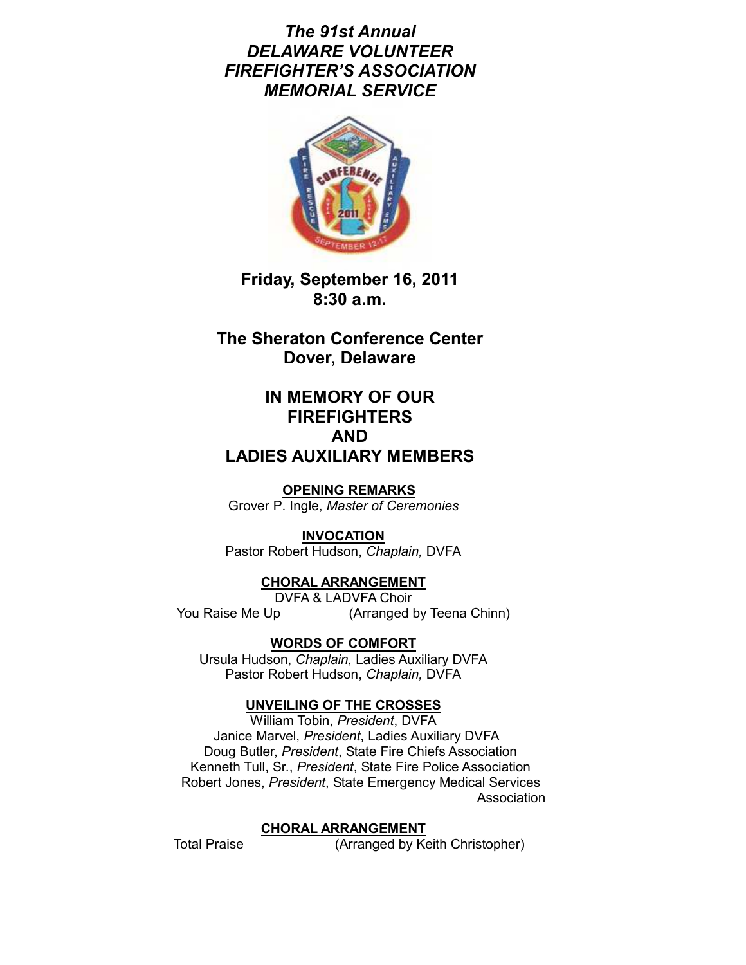*The 91st Annual DELAWARE VOLUNTEER FIREFIGHTER'S ASSOCIATION MEMORIAL SERVICE*



**Friday, September 16, 2011 8:30 a.m.** 

**The Sheraton Conference Center Dover, Delaware** 

# **IN MEMORY OF OUR FIREFIGHTERS AND LADIES AUXILIARY MEMBERS**

**OPENING REMARKS** Grover P. Ingle, *Master of Ceremonies*

**INVOCATION** Pastor Robert Hudson, *Chaplain,* DVFA

# **CHORAL ARRANGEMENT**

DVFA & LADVFA Choir You Raise Me Up (Arranged by Teena Chinn)

# **WORDS OF COMFORT**

Ursula Hudson, *Chaplain,* Ladies Auxiliary DVFA Pastor Robert Hudson, *Chaplain,* DVFA

# **UNVEILING OF THE CROSSES**

William Tobin, *President*, DVFA Janice Marvel, *President*, Ladies Auxiliary DVFA Doug Butler, *President*, State Fire Chiefs Association Kenneth Tull, Sr., *President*, State Fire Police Association Robert Jones, *President*, State Emergency Medical Services **Association** 

# **CHORAL ARRANGEMENT**

Total Praise (Arranged by Keith Christopher)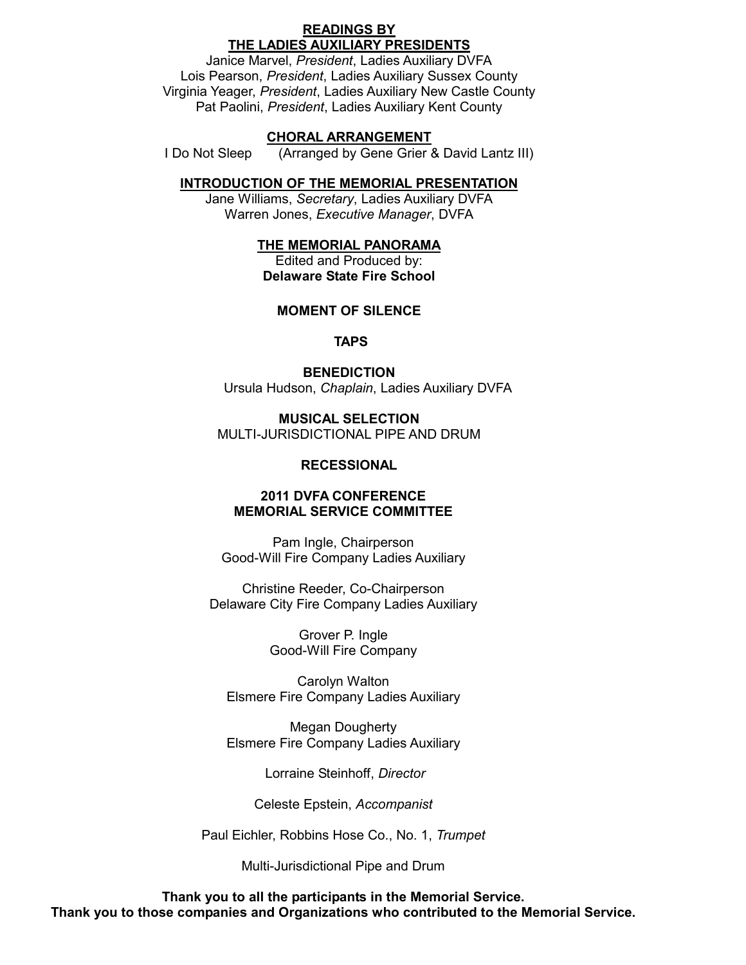### **READINGS BY THE LADIES AUXILIARY PRESIDENTS**

Janice Marvel, *President*, Ladies Auxiliary DVFA Lois Pearson, *President*, Ladies Auxiliary Sussex County Virginia Yeager, *President*, Ladies Auxiliary New Castle County Pat Paolini, *President*, Ladies Auxiliary Kent County

## **CHORAL ARRANGEMENT**

I Do Not Sleep (Arranged by Gene Grier & David Lantz III)

### **INTRODUCTION OF THE MEMORIAL PRESENTATION**

Jane Williams, *Secretary*, Ladies Auxiliary DVFA Warren Jones, *Executive Manager*, DVFA

#### **THE MEMORIAL PANORAMA**

Edited and Produced by: **Delaware State Fire School** 

# **MOMENT OF SILENCE**

#### **TAPS**

### **BENEDICTION**  Ursula Hudson, *Chaplain*, Ladies Auxiliary DVFA

**MUSICAL SELECTION**  MULTI-JURISDICTIONAL PIPE AND DRUM

#### **RECESSIONAL**

# **2011 DVFA CONFERENCE MEMORIAL SERVICE COMMITTEE**

Pam Ingle, Chairperson Good-Will Fire Company Ladies Auxiliary

Christine Reeder, Co-Chairperson Delaware City Fire Company Ladies Auxiliary

> Grover P. Ingle Good-Will Fire Company

Carolyn Walton Elsmere Fire Company Ladies Auxiliary

Megan Dougherty Elsmere Fire Company Ladies Auxiliary

Lorraine Steinhoff, *Director*

Celeste Epstein, *Accompanist* 

Paul Eichler, Robbins Hose Co., No. 1, *Trumpet*

Multi-Jurisdictional Pipe and Drum

**Thank you to all the participants in the Memorial Service. Thank you to those companies and Organizations who contributed to the Memorial Service.**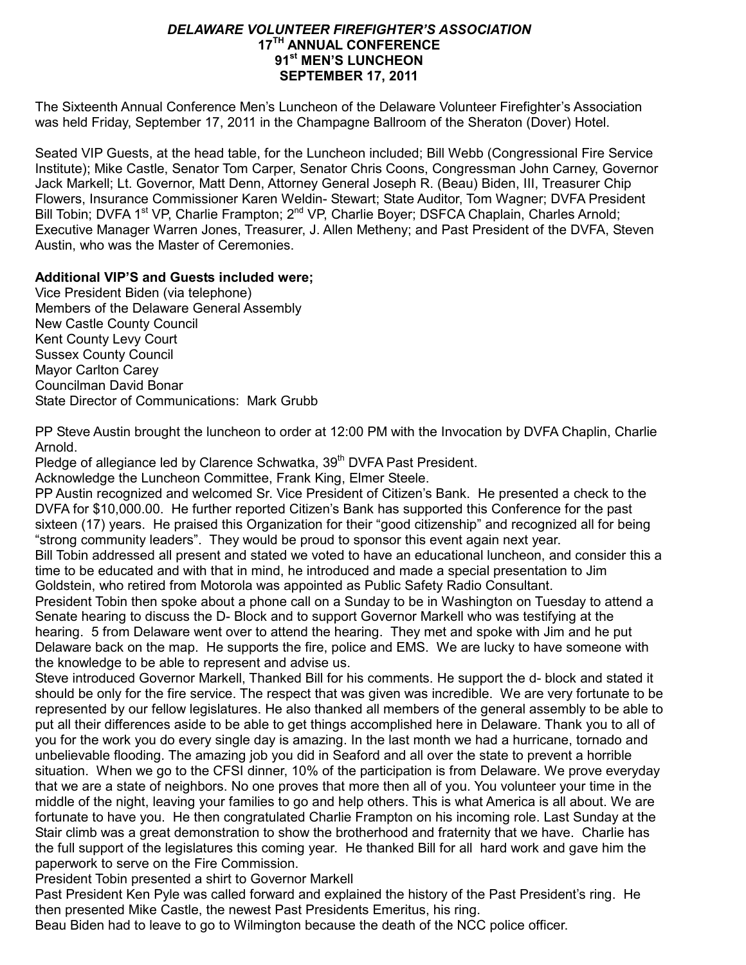## *DELAWARE VOLUNTEER FIREFIGHTER'S ASSOCIATION*  **17TH ANNUAL CONFERENCE 91st MEN'S LUNCHEON SEPTEMBER 17, 2011**

The Sixteenth Annual Conference Men's Luncheon of the Delaware Volunteer Firefighter's Association was held Friday, September 17, 2011 in the Champagne Ballroom of the Sheraton (Dover) Hotel.

Seated VIP Guests, at the head table, for the Luncheon included; Bill Webb (Congressional Fire Service Institute); Mike Castle, Senator Tom Carper, Senator Chris Coons, Congressman John Carney, Governor Jack Markell; Lt. Governor, Matt Denn, Attorney General Joseph R. (Beau) Biden, III, Treasurer Chip Flowers, Insurance Commissioner Karen Weldin- Stewart; State Auditor, Tom Wagner; DVFA President Bill Tobin; DVFA 1<sup>st</sup> VP, Charlie Frampton; 2<sup>nd</sup> VP, Charlie Boyer; DSFCA Chaplain, Charles Arnold; Executive Manager Warren Jones, Treasurer, J. Allen Metheny; and Past President of the DVFA, Steven Austin, who was the Master of Ceremonies.

## **Additional VIP'S and Guests included were;**

Vice President Biden (via telephone) Members of the Delaware General Assembly New Castle County Council Kent County Levy Court Sussex County Council Mayor Carlton Carey Councilman David Bonar State Director of Communications: Mark Grubb

PP Steve Austin brought the luncheon to order at 12:00 PM with the Invocation by DVFA Chaplin, Charlie Arnold.

Pledge of allegiance led by Clarence Schwatka, 39<sup>th</sup> DVFA Past President.

Acknowledge the Luncheon Committee, Frank King, Elmer Steele.

PP Austin recognized and welcomed Sr. Vice President of Citizen's Bank. He presented a check to the DVFA for \$10,000.00. He further reported Citizen's Bank has supported this Conference for the past sixteen (17) years. He praised this Organization for their "good citizenship" and recognized all for being "strong community leaders". They would be proud to sponsor this event again next year. Bill Tobin addressed all present and stated we voted to have an educational luncheon, and consider this a

time to be educated and with that in mind, he introduced and made a special presentation to Jim Goldstein, who retired from Motorola was appointed as Public Safety Radio Consultant.

President Tobin then spoke about a phone call on a Sunday to be in Washington on Tuesday to attend a Senate hearing to discuss the D- Block and to support Governor Markell who was testifying at the hearing. 5 from Delaware went over to attend the hearing. They met and spoke with Jim and he put Delaware back on the map. He supports the fire, police and EMS. We are lucky to have someone with the knowledge to be able to represent and advise us.

Steve introduced Governor Markell, Thanked Bill for his comments. He support the d- block and stated it should be only for the fire service. The respect that was given was incredible. We are very fortunate to be represented by our fellow legislatures. He also thanked all members of the general assembly to be able to put all their differences aside to be able to get things accomplished here in Delaware. Thank you to all of you for the work you do every single day is amazing. In the last month we had a hurricane, tornado and unbelievable flooding. The amazing job you did in Seaford and all over the state to prevent a horrible situation. When we go to the CFSI dinner, 10% of the participation is from Delaware. We prove everyday that we are a state of neighbors. No one proves that more then all of you. You volunteer your time in the middle of the night, leaving your families to go and help others. This is what America is all about. We are fortunate to have you. He then congratulated Charlie Frampton on his incoming role. Last Sunday at the Stair climb was a great demonstration to show the brotherhood and fraternity that we have. Charlie has the full support of the legislatures this coming year. He thanked Bill for all hard work and gave him the paperwork to serve on the Fire Commission.

President Tobin presented a shirt to Governor Markell

Past President Ken Pyle was called forward and explained the history of the Past President's ring. He then presented Mike Castle, the newest Past Presidents Emeritus, his ring.

Beau Biden had to leave to go to Wilmington because the death of the NCC police officer.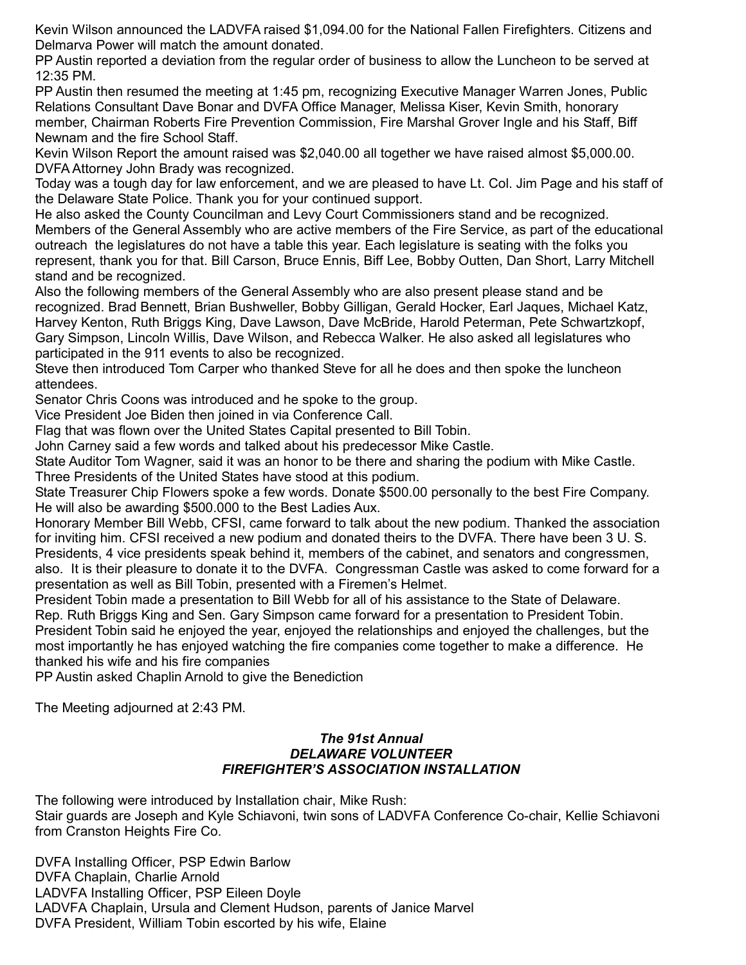Kevin Wilson announced the LADVFA raised \$1,094.00 for the National Fallen Firefighters. Citizens and Delmarva Power will match the amount donated.

PP Austin reported a deviation from the regular order of business to allow the Luncheon to be served at 12:35 PM.

PP Austin then resumed the meeting at 1:45 pm, recognizing Executive Manager Warren Jones, Public Relations Consultant Dave Bonar and DVFA Office Manager, Melissa Kiser, Kevin Smith, honorary member, Chairman Roberts Fire Prevention Commission, Fire Marshal Grover Ingle and his Staff, Biff Newnam and the fire School Staff.

Kevin Wilson Report the amount raised was \$2,040.00 all together we have raised almost \$5,000.00. DVFA Attorney John Brady was recognized.

Today was a tough day for law enforcement, and we are pleased to have Lt. Col. Jim Page and his staff of the Delaware State Police. Thank you for your continued support.

He also asked the County Councilman and Levy Court Commissioners stand and be recognized. Members of the General Assembly who are active members of the Fire Service, as part of the educational outreach the legislatures do not have a table this year. Each legislature is seating with the folks you represent, thank you for that. Bill Carson, Bruce Ennis, Biff Lee, Bobby Outten, Dan Short, Larry Mitchell stand and be recognized.

Also the following members of the General Assembly who are also present please stand and be recognized. Brad Bennett, Brian Bushweller, Bobby Gilligan, Gerald Hocker, Earl Jaques, Michael Katz, Harvey Kenton, Ruth Briggs King, Dave Lawson, Dave McBride, Harold Peterman, Pete Schwartzkopf, Gary Simpson, Lincoln Willis, Dave Wilson, and Rebecca Walker. He also asked all legislatures who participated in the 911 events to also be recognized.

Steve then introduced Tom Carper who thanked Steve for all he does and then spoke the luncheon attendees.

Senator Chris Coons was introduced and he spoke to the group.

Vice President Joe Biden then joined in via Conference Call.

Flag that was flown over the United States Capital presented to Bill Tobin.

John Carney said a few words and talked about his predecessor Mike Castle.

State Auditor Tom Wagner, said it was an honor to be there and sharing the podium with Mike Castle. Three Presidents of the United States have stood at this podium.

State Treasurer Chip Flowers spoke a few words. Donate \$500.00 personally to the best Fire Company. He will also be awarding \$500.000 to the Best Ladies Aux.

Honorary Member Bill Webb, CFSI, came forward to talk about the new podium. Thanked the association for inviting him. CFSI received a new podium and donated theirs to the DVFA. There have been 3 U. S. Presidents, 4 vice presidents speak behind it, members of the cabinet, and senators and congressmen, also. It is their pleasure to donate it to the DVFA. Congressman Castle was asked to come forward for a presentation as well as Bill Tobin, presented with a Firemen's Helmet.

President Tobin made a presentation to Bill Webb for all of his assistance to the State of Delaware. Rep. Ruth Briggs King and Sen. Gary Simpson came forward for a presentation to President Tobin. President Tobin said he enjoyed the year, enjoyed the relationships and enjoyed the challenges, but the most importantly he has enjoyed watching the fire companies come together to make a difference. He

thanked his wife and his fire companies

PP Austin asked Chaplin Arnold to give the Benediction

The Meeting adjourned at 2:43 PM.

# *The 91st Annual DELAWARE VOLUNTEER FIREFIGHTER'S ASSOCIATION INSTALLATION*

The following were introduced by Installation chair, Mike Rush: Stair guards are Joseph and Kyle Schiavoni, twin sons of LADVFA Conference Co-chair, Kellie Schiavoni from Cranston Heights Fire Co.

DVFA Installing Officer, PSP Edwin Barlow DVFA Chaplain, Charlie Arnold LADVFA Installing Officer, PSP Eileen Doyle LADVFA Chaplain, Ursula and Clement Hudson, parents of Janice Marvel DVFA President, William Tobin escorted by his wife, Elaine